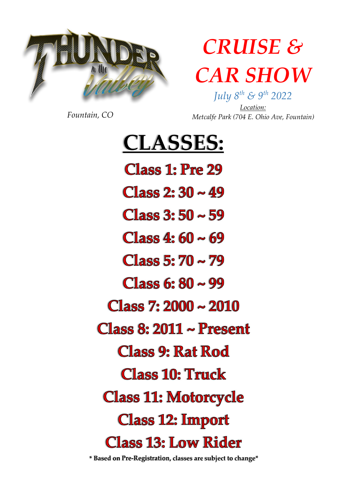

## **CRUISE & CAR SHOW**

Fountain, CO

July  $8^{th}$  &  $9^{th}$  2022 Location: Metcalfe Park (704 E. Ohio Ave, Fountain)

#### **CLASSES:**

**Class 1: Pre 29** 

**Class 2: 30 ~ 49** 

**Class 3: 50 ~ 59** 

**Class 4: 60 ~ 69** 

 $Class 5:70 \sim 79$ 

**Class 6: 80 ~ 99** 

 $Class 7: 2000 \sim 2010$ 

Class 8:  $2011 \sim$  Present

**Class 9: Rat Rod** 

**Class 10: Truck** 

**Class 11: Motorcycle** 

**Class 12: Import** 

**Class 13: Low Rider** 

\* Based on Pre-Registration, classes are subject to change\*